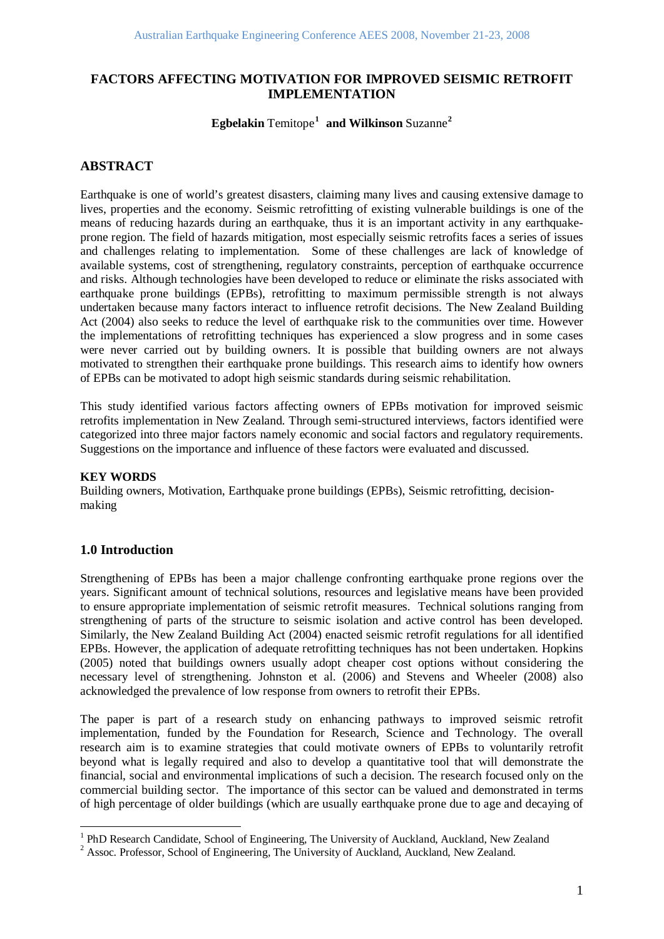# **FACTORS AFFECTING MOTIVATION FOR IMPROVED SEISMIC RETROFIT IMPLEMENTATION**

### **Egbelakin** Temitope**[1](#page-0-0) and Wilkinson** Suzanne**[2](#page-0-1)**

# **ABSTRACT**

Earthquake is one of world's greatest disasters, claiming many lives and causing extensive damage to lives, properties and the economy. Seismic retrofitting of existing vulnerable buildings is one of the means of reducing hazards during an earthquake, thus it is an important activity in any earthquakeprone region. The field of hazards mitigation, most especially seismic retrofits faces a series of issues and challenges relating to implementation. Some of these challenges are lack of knowledge of available systems, cost of strengthening, regulatory constraints, perception of earthquake occurrence and risks. Although technologies have been developed to reduce or eliminate the risks associated with earthquake prone buildings (EPBs), retrofitting to maximum permissible strength is not always undertaken because many factors interact to influence retrofit decisions. The New Zealand Building Act (2004) also seeks to reduce the level of earthquake risk to the communities over time. However the implementations of retrofitting techniques has experienced a slow progress and in some cases were never carried out by building owners. It is possible that building owners are not always motivated to strengthen their earthquake prone buildings. This research aims to identify how owners of EPBs can be motivated to adopt high seismic standards during seismic rehabilitation.

This study identified various factors affecting owners of EPBs motivation for improved seismic retrofits implementation in New Zealand. Through semi-structured interviews, factors identified were categorized into three major factors namely economic and social factors and regulatory requirements. Suggestions on the importance and influence of these factors were evaluated and discussed.

#### **KEY WORDS**

Building owners, Motivation, Earthquake prone buildings (EPBs), Seismic retrofitting, decisionmaking

## **1.0 Introduction**

Strengthening of EPBs has been a major challenge confronting earthquake prone regions over the years. Significant amount of technical solutions, resources and legislative means have been provided to ensure appropriate implementation of seismic retrofit measures. Technical solutions ranging from strengthening of parts of the structure to seismic isolation and active control has been developed. Similarly, the New Zealand Building Act (2004) enacted seismic retrofit regulations for all identified EPBs. However, the application of adequate retrofitting techniques has not been undertaken. Hopkins (2005) noted that buildings owners usually adopt cheaper cost options without considering the necessary level of strengthening. Johnston et al. (2006) and Stevens and Wheeler (2008) also acknowledged the prevalence of low response from owners to retrofit their EPBs.

The paper is part of a research study on enhancing pathways to improved seismic retrofit implementation, funded by the Foundation for Research, Science and Technology. The overall research aim is to examine strategies that could motivate owners of EPBs to voluntarily retrofit beyond what is legally required and also to develop a quantitative tool that will demonstrate the financial, social and environmental implications of such a decision. The research focused only on the commercial building sector. The importance of this sector can be valued and demonstrated in terms of high percentage of older buildings (which are usually earthquake prone due to age and decaying of

<span id="page-0-0"></span><sup>&</sup>lt;sup>1</sup> PhD Research Candidate, School of Engineering, The University of Auckland, Auckland, New Zealand  $^{2}$  Assoc. Professor, School of Engineering, The University of Auckland, Auckland, New Zealand.

<span id="page-0-1"></span>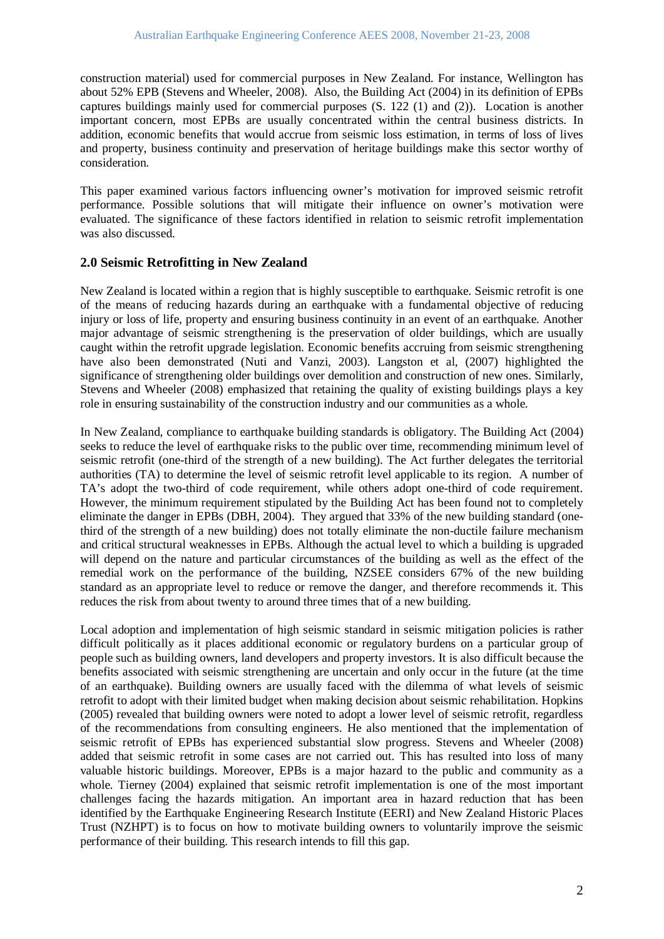construction material) used for commercial purposes in New Zealand. For instance, Wellington has about 52% EPB (Stevens and Wheeler, 2008). Also, the Building Act (2004) in its definition of EPBs captures buildings mainly used for commercial purposes (S. 122 (1) and (2)). Location is another important concern, most EPBs are usually concentrated within the central business districts. In addition, economic benefits that would accrue from seismic loss estimation, in terms of loss of lives and property, business continuity and preservation of heritage buildings make this sector worthy of consideration.

This paper examined various factors influencing owner's motivation for improved seismic retrofit performance. Possible solutions that will mitigate their influence on owner's motivation were evaluated. The significance of these factors identified in relation to seismic retrofit implementation was also discussed.

## **2.0 Seismic Retrofitting in New Zealand**

New Zealand is located within a region that is highly susceptible to earthquake. Seismic retrofit is one of the means of reducing hazards during an earthquake with a fundamental objective of reducing injury or loss of life, property and ensuring business continuity in an event of an earthquake. Another major advantage of seismic strengthening is the preservation of older buildings, which are usually caught within the retrofit upgrade legislation. Economic benefits accruing from seismic strengthening have also been demonstrated (Nuti and Vanzi, 2003). Langston et al, (2007) highlighted the significance of strengthening older buildings over demolition and construction of new ones. Similarly, Stevens and Wheeler (2008) emphasized that retaining the quality of existing buildings plays a key role in ensuring sustainability of the construction industry and our communities as a whole.

In New Zealand, compliance to earthquake building standards is obligatory. The Building Act (2004) seeks to reduce the level of earthquake risks to the public over time, recommending minimum level of seismic retrofit (one-third of the strength of a new building). The Act further delegates the territorial authorities (TA) to determine the level of seismic retrofit level applicable to its region. A number of TA's adopt the two-third of code requirement, while others adopt one-third of code requirement. However, the minimum requirement stipulated by the Building Act has been found not to completely eliminate the danger in EPBs (DBH, 2004). They argued that 33% of the new building standard (onethird of the strength of a new building) does not totally eliminate the non-ductile failure mechanism and critical structural weaknesses in EPBs. Although the actual level to which a building is upgraded will depend on the nature and particular circumstances of the building as well as the effect of the remedial work on the performance of the building, NZSEE considers 67% of the new building standard as an appropriate level to reduce or remove the danger, and therefore recommends it. This reduces the risk from about twenty to around three times that of a new building.

Local adoption and implementation of high seismic standard in seismic mitigation policies is rather difficult politically as it places additional economic or regulatory burdens on a particular group of people such as building owners, land developers and property investors. It is also difficult because the benefits associated with seismic strengthening are uncertain and only occur in the future (at the time of an earthquake). Building owners are usually faced with the dilemma of what levels of seismic retrofit to adopt with their limited budget when making decision about seismic rehabilitation. Hopkins (2005) revealed that building owners were noted to adopt a lower level of seismic retrofit, regardless of the recommendations from consulting engineers. He also mentioned that the implementation of seismic retrofit of EPBs has experienced substantial slow progress. Stevens and Wheeler (2008) added that seismic retrofit in some cases are not carried out. This has resulted into loss of many valuable historic buildings. Moreover, EPBs is a major hazard to the public and community as a whole. Tierney (2004) explained that seismic retrofit implementation is one of the most important challenges facing the hazards mitigation. An important area in hazard reduction that has been identified by the Earthquake Engineering Research Institute (EERI) and New Zealand Historic Places Trust (NZHPT) is to focus on how to motivate building owners to voluntarily improve the seismic performance of their building. This research intends to fill this gap.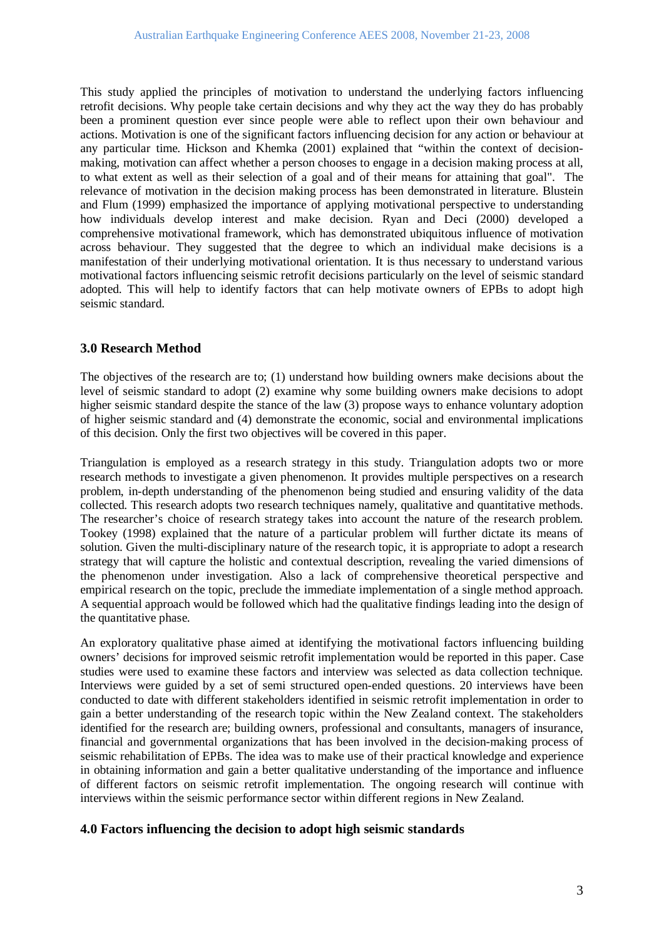This study applied the principles of motivation to understand the underlying factors influencing retrofit decisions. Why people take certain decisions and why they act the way they do has probably been a prominent question ever since people were able to reflect upon their own behaviour and actions. Motivation is one of the significant factors influencing decision for any action or behaviour at any particular time. Hickson and Khemka (2001) explained that "within the context of decisionmaking, motivation can affect whether a person chooses to engage in a decision making process at all, to what extent as well as their selection of a goal and of their means for attaining that goal". The relevance of motivation in the decision making process has been demonstrated in literature. Blustein and Flum (1999) emphasized the importance of applying motivational perspective to understanding how individuals develop interest and make decision. Ryan and Deci (2000) developed a comprehensive motivational framework, which has demonstrated ubiquitous influence of motivation across behaviour. They suggested that the degree to which an individual make decisions is a manifestation of their underlying motivational orientation. It is thus necessary to understand various motivational factors influencing seismic retrofit decisions particularly on the level of seismic standard adopted. This will help to identify factors that can help motivate owners of EPBs to adopt high seismic standard.

# **3.0 Research Method**

The objectives of the research are to; (1) understand how building owners make decisions about the level of seismic standard to adopt (2) examine why some building owners make decisions to adopt higher seismic standard despite the stance of the law (3) propose ways to enhance voluntary adoption of higher seismic standard and (4) demonstrate the economic, social and environmental implications of this decision. Only the first two objectives will be covered in this paper.

Triangulation is employed as a research strategy in this study. Triangulation adopts two or more research methods to investigate a given phenomenon. It provides multiple perspectives on a research problem, in-depth understanding of the phenomenon being studied and ensuring validity of the data collected. This research adopts two research techniques namely, qualitative and quantitative methods. The researcher's choice of research strategy takes into account the nature of the research problem. Tookey (1998) explained that the nature of a particular problem will further dictate its means of solution. Given the multi-disciplinary nature of the research topic, it is appropriate to adopt a research strategy that will capture the holistic and contextual description, revealing the varied dimensions of the phenomenon under investigation. Also a lack of comprehensive theoretical perspective and empirical research on the topic, preclude the immediate implementation of a single method approach. A sequential approach would be followed which had the qualitative findings leading into the design of the quantitative phase.

An exploratory qualitative phase aimed at identifying the motivational factors influencing building owners' decisions for improved seismic retrofit implementation would be reported in this paper. Case studies were used to examine these factors and interview was selected as data collection technique. Interviews were guided by a set of semi structured open-ended questions. 20 interviews have been conducted to date with different stakeholders identified in seismic retrofit implementation in order to gain a better understanding of the research topic within the New Zealand context. The stakeholders identified for the research are; building owners, professional and consultants, managers of insurance, financial and governmental organizations that has been involved in the decision-making process of seismic rehabilitation of EPBs. The idea was to make use of their practical knowledge and experience in obtaining information and gain a better qualitative understanding of the importance and influence of different factors on seismic retrofit implementation. The ongoing research will continue with interviews within the seismic performance sector within different regions in New Zealand.

## **4.0 Factors influencing the decision to adopt high seismic standards**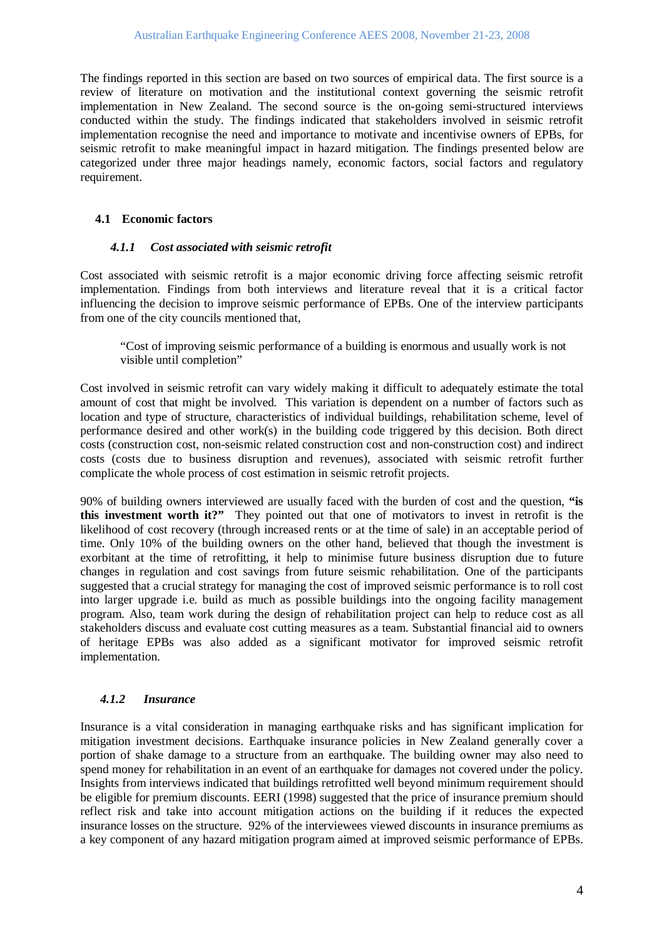The findings reported in this section are based on two sources of empirical data. The first source is a review of literature on motivation and the institutional context governing the seismic retrofit implementation in New Zealand. The second source is the on-going semi-structured interviews conducted within the study. The findings indicated that stakeholders involved in seismic retrofit implementation recognise the need and importance to motivate and incentivise owners of EPBs, for seismic retrofit to make meaningful impact in hazard mitigation. The findings presented below are categorized under three major headings namely, economic factors, social factors and regulatory requirement.

### **4.1 Economic factors**

#### *4.1.1 Cost associated with seismic retrofit*

Cost associated with seismic retrofit is a major economic driving force affecting seismic retrofit implementation. Findings from both interviews and literature reveal that it is a critical factor influencing the decision to improve seismic performance of EPBs. One of the interview participants from one of the city councils mentioned that,

"Cost of improving seismic performance of a building is enormous and usually work is not visible until completion"

Cost involved in seismic retrofit can vary widely making it difficult to adequately estimate the total amount of cost that might be involved. This variation is dependent on a number of factors such as location and type of structure, characteristics of individual buildings, rehabilitation scheme, level of performance desired and other work(s) in the building code triggered by this decision. Both direct costs (construction cost, non-seismic related construction cost and non-construction cost) and indirect costs (costs due to business disruption and revenues), associated with seismic retrofit further complicate the whole process of cost estimation in seismic retrofit projects.

90% of building owners interviewed are usually faced with the burden of cost and the question, **"is this investment worth it?"** They pointed out that one of motivators to invest in retrofit is the likelihood of cost recovery (through increased rents or at the time of sale) in an acceptable period of time. Only 10% of the building owners on the other hand, believed that though the investment is exorbitant at the time of retrofitting, it help to minimise future business disruption due to future changes in regulation and cost savings from future seismic rehabilitation. One of the participants suggested that a crucial strategy for managing the cost of improved seismic performance is to roll cost into larger upgrade i.e. build as much as possible buildings into the ongoing facility management program. Also, team work during the design of rehabilitation project can help to reduce cost as all stakeholders discuss and evaluate cost cutting measures as a team. Substantial financial aid to owners of heritage EPBs was also added as a significant motivator for improved seismic retrofit implementation.

## *4.1.2 Insurance*

Insurance is a vital consideration in managing earthquake risks and has significant implication for mitigation investment decisions. Earthquake insurance policies in New Zealand generally cover a portion of shake damage to a structure from an earthquake. The building owner may also need to spend money for rehabilitation in an event of an earthquake for damages not covered under the policy. Insights from interviews indicated that buildings retrofitted well beyond minimum requirement should be eligible for premium discounts. EERI (1998) suggested that the price of insurance premium should reflect risk and take into account mitigation actions on the building if it reduces the expected insurance losses on the structure. 92% of the interviewees viewed discounts in insurance premiums as a key component of any hazard mitigation program aimed at improved seismic performance of EPBs.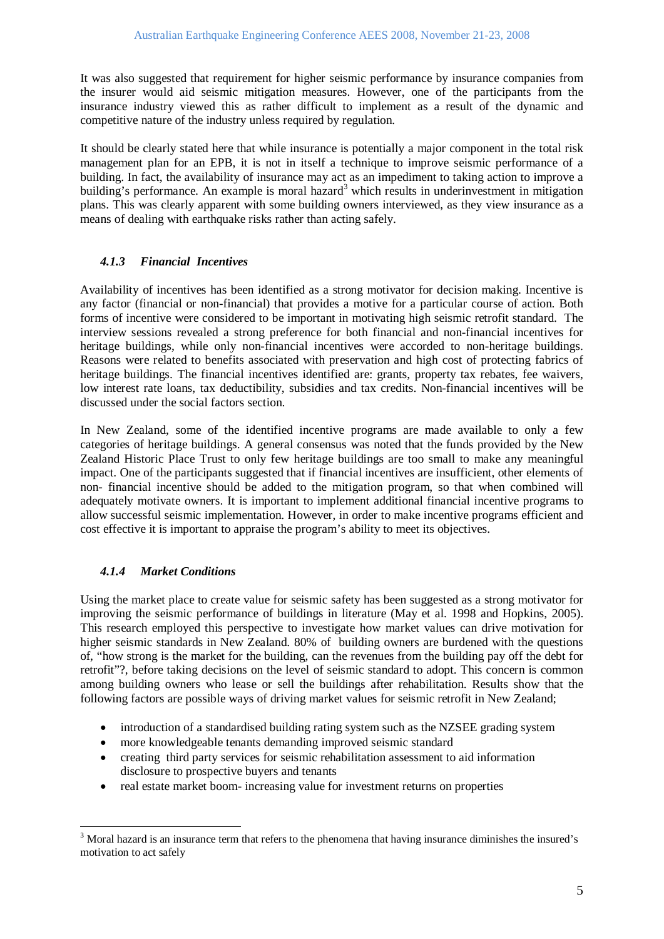It was also suggested that requirement for higher seismic performance by insurance companies from the insurer would aid seismic mitigation measures. However, one of the participants from the insurance industry viewed this as rather difficult to implement as a result of the dynamic and competitive nature of the industry unless required by regulation.

It should be clearly stated here that while insurance is potentially a major component in the total risk management plan for an EPB, it is not in itself a technique to improve seismic performance of a building. In fact, the availability of insurance may act as an impediment to taking action to improve a building's performance. An example is moral hazard<sup>[3](#page-4-0)</sup> which results in underinvestment in mitigation plans. This was clearly apparent with some building owners interviewed, as they view insurance as a means of dealing with earthquake risks rather than acting safely.

## *4.1.3 Financial Incentives*

Availability of incentives has been identified as a strong motivator for decision making. Incentive is any factor (financial or non-financial) that provides a motive for a particular course of action. Both forms of incentive were considered to be important in motivating high seismic retrofit standard. The interview sessions revealed a strong preference for both financial and non-financial incentives for heritage buildings, while only non-financial incentives were accorded to non-heritage buildings. Reasons were related to benefits associated with preservation and high cost of protecting fabrics of heritage buildings. The financial incentives identified are: grants, property tax rebates, fee waivers, low interest rate loans, tax deductibility, subsidies and tax credits. Non-financial incentives will be discussed under the social factors section.

In New Zealand, some of the identified incentive programs are made available to only a few categories of heritage buildings. A general consensus was noted that the funds provided by the New Zealand Historic Place Trust to only few heritage buildings are too small to make any meaningful impact. One of the participants suggested that if financial incentives are insufficient, other elements of non- financial incentive should be added to the mitigation program, so that when combined will adequately motivate owners. It is important to implement additional financial incentive programs to allow successful seismic implementation. However, in order to make incentive programs efficient and cost effective it is important to appraise the program's ability to meet its objectives.

# *4.1.4 Market Conditions*

Using the market place to create value for seismic safety has been suggested as a strong motivator for improving the seismic performance of buildings in literature (May et al. 1998 and Hopkins, 2005). This research employed this perspective to investigate how market values can drive motivation for higher seismic standards in New Zealand. 80% of building owners are burdened with the questions of, "how strong is the market for the building, can the revenues from the building pay off the debt for retrofit"?, before taking decisions on the level of seismic standard to adopt. This concern is common among building owners who lease or sell the buildings after rehabilitation. Results show that the following factors are possible ways of driving market values for seismic retrofit in New Zealand;

- introduction of a standardised building rating system such as the NZSEE grading system
- more knowledgeable tenants demanding improved seismic standard
- creating third party services for seismic rehabilitation assessment to aid information disclosure to prospective buyers and tenants
- real estate market boom- increasing value for investment returns on properties

<span id="page-4-0"></span><sup>&</sup>lt;sup>3</sup> Moral hazard is an insurance term that refers to the phenomena that having insurance diminishes the insured's motivation to act safely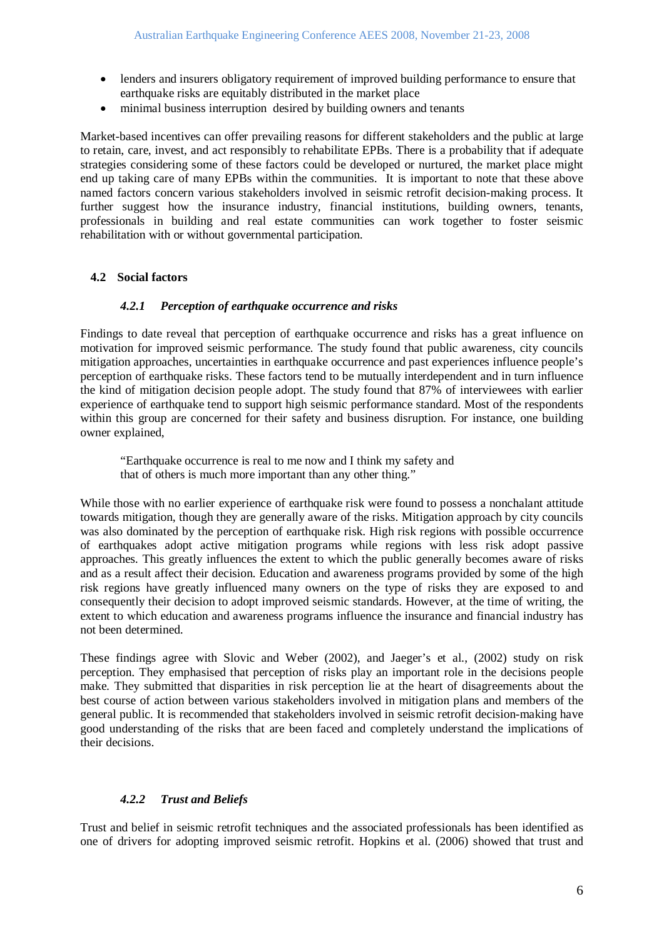- lenders and insurers obligatory requirement of improved building performance to ensure that earthquake risks are equitably distributed in the market place
- minimal business interruption desired by building owners and tenants

Market-based incentives can offer prevailing reasons for different stakeholders and the public at large to retain, care, invest, and act responsibly to rehabilitate EPBs. There is a probability that if adequate strategies considering some of these factors could be developed or nurtured, the market place might end up taking care of many EPBs within the communities. It is important to note that these above named factors concern various stakeholders involved in seismic retrofit decision-making process. It further suggest how the insurance industry, financial institutions, building owners, tenants, professionals in building and real estate communities can work together to foster seismic rehabilitation with or without governmental participation.

## **4.2 Social factors**

#### *4.2.1 Perception of earthquake occurrence and risks*

Findings to date reveal that perception of earthquake occurrence and risks has a great influence on motivation for improved seismic performance. The study found that public awareness, city councils mitigation approaches, uncertainties in earthquake occurrence and past experiences influence people's perception of earthquake risks. These factors tend to be mutually interdependent and in turn influence the kind of mitigation decision people adopt. The study found that 87% of interviewees with earlier experience of earthquake tend to support high seismic performance standard. Most of the respondents within this group are concerned for their safety and business disruption. For instance, one building owner explained,

"Earthquake occurrence is real to me now and I think my safety and that of others is much more important than any other thing."

While those with no earlier experience of earthquake risk were found to possess a nonchalant attitude towards mitigation, though they are generally aware of the risks. Mitigation approach by city councils was also dominated by the perception of earthquake risk. High risk regions with possible occurrence of earthquakes adopt active mitigation programs while regions with less risk adopt passive approaches. This greatly influences the extent to which the public generally becomes aware of risks and as a result affect their decision. Education and awareness programs provided by some of the high risk regions have greatly influenced many owners on the type of risks they are exposed to and consequently their decision to adopt improved seismic standards. However, at the time of writing, the extent to which education and awareness programs influence the insurance and financial industry has not been determined.

These findings agree with Slovic and Weber (2002), and Jaeger's et al., (2002) study on risk perception. They emphasised that perception of risks play an important role in the decisions people make. They submitted that disparities in risk perception lie at the heart of disagreements about the best course of action between various stakeholders involved in mitigation plans and members of the general public. It is recommended that stakeholders involved in seismic retrofit decision-making have good understanding of the risks that are been faced and completely understand the implications of their decisions.

## *4.2.2 Trust and Beliefs*

Trust and belief in seismic retrofit techniques and the associated professionals has been identified as one of drivers for adopting improved seismic retrofit. Hopkins et al. (2006) showed that trust and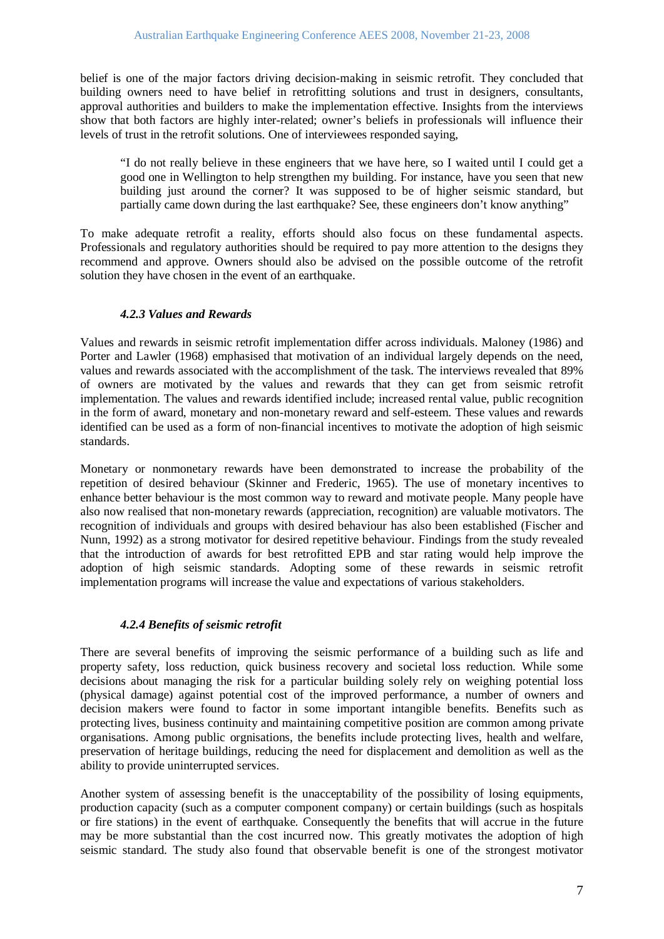belief is one of the major factors driving decision-making in seismic retrofit. They concluded that building owners need to have belief in retrofitting solutions and trust in designers, consultants, approval authorities and builders to make the implementation effective. Insights from the interviews show that both factors are highly inter-related; owner's beliefs in professionals will influence their levels of trust in the retrofit solutions. One of interviewees responded saying,

"I do not really believe in these engineers that we have here, so I waited until I could get a good one in Wellington to help strengthen my building. For instance, have you seen that new building just around the corner? It was supposed to be of higher seismic standard, but partially came down during the last earthquake? See, these engineers don't know anything"

To make adequate retrofit a reality, efforts should also focus on these fundamental aspects. Professionals and regulatory authorities should be required to pay more attention to the designs they recommend and approve. Owners should also be advised on the possible outcome of the retrofit solution they have chosen in the event of an earthquake.

## *4.2.3 Values and Rewards*

Values and rewards in seismic retrofit implementation differ across individuals. Maloney (1986) and Porter and Lawler (1968) emphasised that motivation of an individual largely depends on the need, values and rewards associated with the accomplishment of the task. The interviews revealed that 89% of owners are motivated by the values and rewards that they can get from seismic retrofit implementation. The values and rewards identified include; increased rental value, public recognition in the form of award, monetary and non-monetary reward and self-esteem. These values and rewards identified can be used as a form of non-financial incentives to motivate the adoption of high seismic standards.

Monetary or nonmonetary rewards have been demonstrated to increase the probability of the repetition of desired behaviour (Skinner and Frederic, 1965). The use of monetary incentives to enhance better behaviour is the most common way to reward and motivate people. Many people have also now realised that non-monetary rewards (appreciation, recognition) are valuable motivators. The recognition of individuals and groups with desired behaviour has also been established (Fischer and Nunn, 1992) as a strong motivator for desired repetitive behaviour. Findings from the study revealed that the introduction of awards for best retrofitted EPB and star rating would help improve the adoption of high seismic standards. Adopting some of these rewards in seismic retrofit implementation programs will increase the value and expectations of various stakeholders.

## *4.2.4 Benefits of seismic retrofit*

There are several benefits of improving the seismic performance of a building such as life and property safety, loss reduction, quick business recovery and societal loss reduction. While some decisions about managing the risk for a particular building solely rely on weighing potential loss (physical damage) against potential cost of the improved performance, a number of owners and decision makers were found to factor in some important intangible benefits. Benefits such as protecting lives, business continuity and maintaining competitive position are common among private organisations. Among public orgnisations, the benefits include protecting lives, health and welfare, preservation of heritage buildings, reducing the need for displacement and demolition as well as the ability to provide uninterrupted services.

Another system of assessing benefit is the unacceptability of the possibility of losing equipments, production capacity (such as a computer component company) or certain buildings (such as hospitals or fire stations) in the event of earthquake. Consequently the benefits that will accrue in the future may be more substantial than the cost incurred now. This greatly motivates the adoption of high seismic standard. The study also found that observable benefit is one of the strongest motivator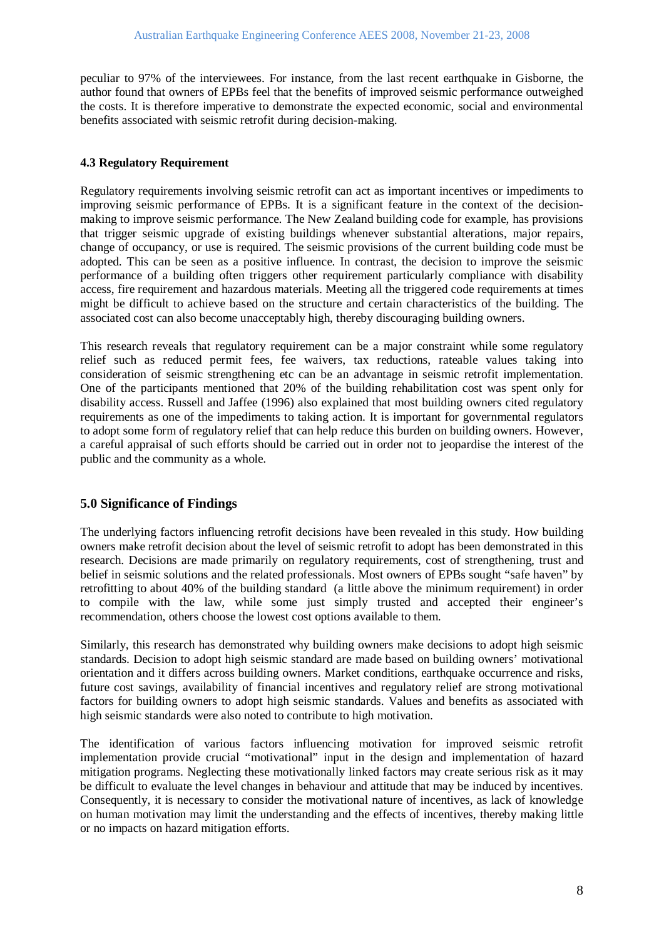peculiar to 97% of the interviewees. For instance, from the last recent earthquake in Gisborne, the author found that owners of EPBs feel that the benefits of improved seismic performance outweighed the costs. It is therefore imperative to demonstrate the expected economic, social and environmental benefits associated with seismic retrofit during decision-making.

# **4.3 Regulatory Requirement**

Regulatory requirements involving seismic retrofit can act as important incentives or impediments to improving seismic performance of EPBs. It is a significant feature in the context of the decisionmaking to improve seismic performance. The New Zealand building code for example, has provisions that trigger seismic upgrade of existing buildings whenever substantial alterations, major repairs, change of occupancy, or use is required. The seismic provisions of the current building code must be adopted. This can be seen as a positive influence. In contrast, the decision to improve the seismic performance of a building often triggers other requirement particularly compliance with disability access, fire requirement and hazardous materials. Meeting all the triggered code requirements at times might be difficult to achieve based on the structure and certain characteristics of the building. The associated cost can also become unacceptably high, thereby discouraging building owners.

This research reveals that regulatory requirement can be a major constraint while some regulatory relief such as reduced permit fees, fee waivers, tax reductions, rateable values taking into consideration of seismic strengthening etc can be an advantage in seismic retrofit implementation. One of the participants mentioned that 20% of the building rehabilitation cost was spent only for disability access. Russell and Jaffee (1996) also explained that most building owners cited regulatory requirements as one of the impediments to taking action. It is important for governmental regulators to adopt some form of regulatory relief that can help reduce this burden on building owners. However, a careful appraisal of such efforts should be carried out in order not to jeopardise the interest of the public and the community as a whole.

# **5.0 Significance of Findings**

The underlying factors influencing retrofit decisions have been revealed in this study. How building owners make retrofit decision about the level of seismic retrofit to adopt has been demonstrated in this research. Decisions are made primarily on regulatory requirements, cost of strengthening, trust and belief in seismic solutions and the related professionals. Most owners of EPBs sought "safe haven" by retrofitting to about 40% of the building standard (a little above the minimum requirement) in order to compile with the law, while some just simply trusted and accepted their engineer's recommendation, others choose the lowest cost options available to them.

Similarly, this research has demonstrated why building owners make decisions to adopt high seismic standards. Decision to adopt high seismic standard are made based on building owners' motivational orientation and it differs across building owners. Market conditions, earthquake occurrence and risks, future cost savings, availability of financial incentives and regulatory relief are strong motivational factors for building owners to adopt high seismic standards. Values and benefits as associated with high seismic standards were also noted to contribute to high motivation.

The identification of various factors influencing motivation for improved seismic retrofit implementation provide crucial "motivational" input in the design and implementation of hazard mitigation programs. Neglecting these motivationally linked factors may create serious risk as it may be difficult to evaluate the level changes in behaviour and attitude that may be induced by incentives. Consequently, it is necessary to consider the motivational nature of incentives, as lack of knowledge on human motivation may limit the understanding and the effects of incentives, thereby making little or no impacts on hazard mitigation efforts.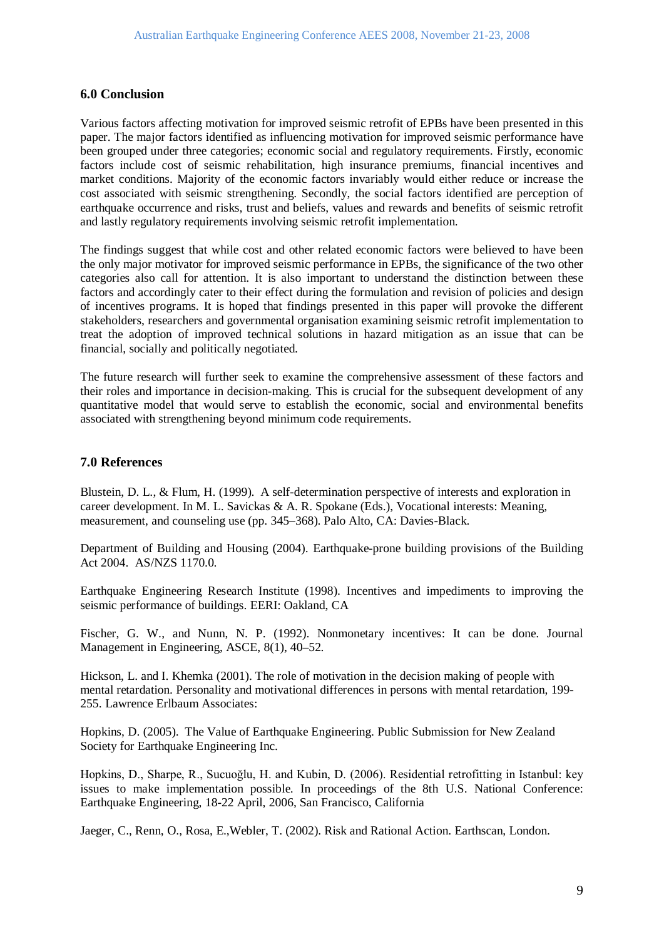### **6.0 Conclusion**

Various factors affecting motivation for improved seismic retrofit of EPBs have been presented in this paper. The major factors identified as influencing motivation for improved seismic performance have been grouped under three categories; economic social and regulatory requirements. Firstly, economic factors include cost of seismic rehabilitation, high insurance premiums, financial incentives and market conditions. Majority of the economic factors invariably would either reduce or increase the cost associated with seismic strengthening. Secondly, the social factors identified are perception of earthquake occurrence and risks, trust and beliefs, values and rewards and benefits of seismic retrofit and lastly regulatory requirements involving seismic retrofit implementation.

The findings suggest that while cost and other related economic factors were believed to have been the only major motivator for improved seismic performance in EPBs, the significance of the two other categories also call for attention. It is also important to understand the distinction between these factors and accordingly cater to their effect during the formulation and revision of policies and design of incentives programs. It is hoped that findings presented in this paper will provoke the different stakeholders, researchers and governmental organisation examining seismic retrofit implementation to treat the adoption of improved technical solutions in hazard mitigation as an issue that can be financial, socially and politically negotiated.

The future research will further seek to examine the comprehensive assessment of these factors and their roles and importance in decision-making. This is crucial for the subsequent development of any quantitative model that would serve to establish the economic, social and environmental benefits associated with strengthening beyond minimum code requirements.

### **7.0 References**

Blustein, D. L., & Flum, H. (1999). A self-determination perspective of interests and exploration in career development. In M. L. Savickas & A. R. Spokane (Eds.), Vocational interests: Meaning, measurement, and counseling use (pp. 345–368). Palo Alto, CA: Davies-Black.

Department of Building and Housing (2004). Earthquake-prone building provisions of the Building Act 2004. AS/NZS 1170.0.

Earthquake Engineering Research Institute (1998). Incentives and impediments to improving the seismic performance of buildings. EERI: Oakland, CA

Fischer, G. W., and Nunn, N. P. (1992). Nonmonetary incentives: It can be done. Journal Management in Engineering, ASCE, 8(1), 40–52.

Hickson, L. and I. Khemka (2001). The role of motivation in the decision making of people with mental retardation. Personality and motivational differences in persons with mental retardation, 199- 255. Lawrence Erlbaum Associates:

Hopkins, D. (2005). The Value of Earthquake Engineering. Public Submission for New Zealand Society for Earthquake Engineering Inc.

Hopkins, D., Sharpe, R., Sucuoğlu, H. and Kubin, D. (2006). Residential retrofitting in Istanbul: key issues to make implementation possible. In proceedings of the 8th U.S. National Conference: Earthquake Engineering, 18-22 April, 2006, San Francisco, California

Jaeger, C., Renn, O., Rosa, E.,Webler, T. (2002). Risk and Rational Action. Earthscan, London.